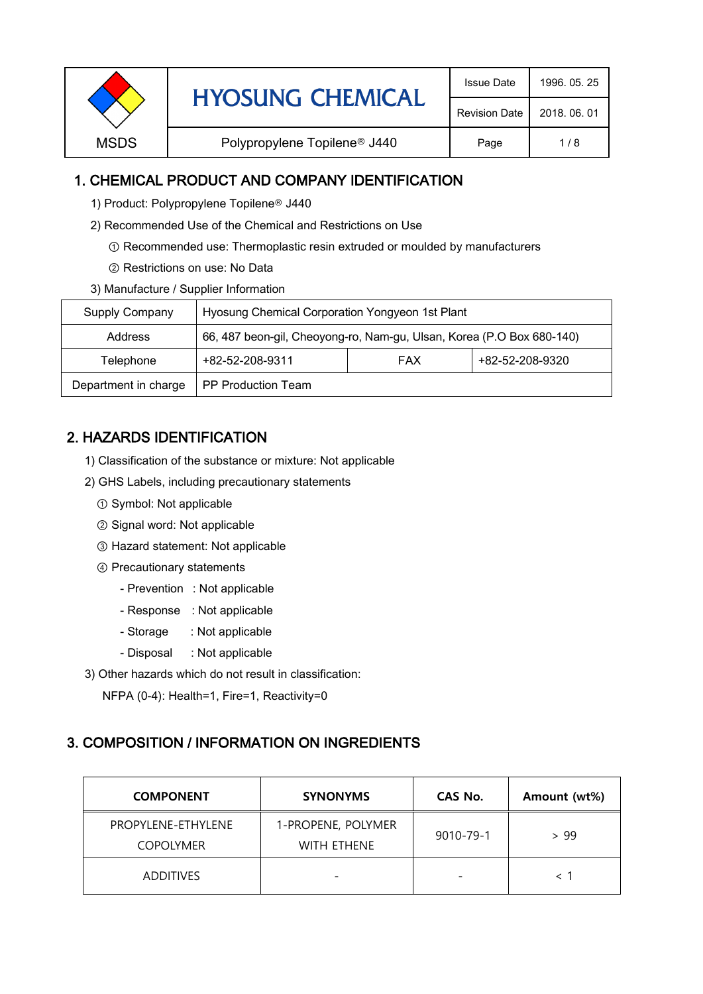| <b>HYOSUNG CHEMICAL</b> | <b>Issue Date</b>                        | 1996, 05, 25         |              |
|-------------------------|------------------------------------------|----------------------|--------------|
|                         |                                          | <b>Revision Date</b> | 2018, 06, 01 |
| <b>MSDS</b>             | Polypropylene Topilene <sup>®</sup> J440 | Page                 | 1/8          |
|                         |                                          |                      |              |

# 1. CHEMICAL PRODUCT AND COMPANY IDENTIFICATION

- 1) Product: Polypropylene Topilene<sup>®</sup> J440
- 2) Recommended Use of the Chemical and Restrictions on Use
	- ① Recommended use: Thermoplastic resin extruded or moulded by manufacturers
	- ② Restrictions on use: No Data
- 3) Manufacture / Supplier Information

| Supply Company                             | Hyosung Chemical Corporation Yongyeon 1st Plant                       |  |                 |  |
|--------------------------------------------|-----------------------------------------------------------------------|--|-----------------|--|
| Address                                    | 66, 487 beon-gil, Cheoyong-ro, Nam-gu, Ulsan, Korea (P.O Box 680-140) |  |                 |  |
| +82-52-208-9311<br><b>FAX</b><br>Telephone |                                                                       |  | +82-52-208-9320 |  |
| Department in charge                       | <b>PP Production Team</b>                                             |  |                 |  |

# 2. HAZARDS IDENTIFICATION

- 1) Classification of the substance or mixture: Not applicable
- 2) GHS Labels, including precautionary statements
	- ① Symbol: Not applicable
	- ② Signal word: Not applicable
	- ③ Hazard statement: Not applicable
	- ④ Precautionary statements
		- Prevention : Not applicable
		- Response : Not applicable
		- Storage : Not applicable
		- Disposal : Not applicable
- 3) Other hazards which do not result in classification:

NFPA (0-4): Health=1, Fire=1, Reactivity=0

## 3. COMPOSITION / INFORMATION ON INGREDIENTS

| <b>COMPONENT</b>                       | <b>SYNONYMS</b>                          | CAS No.                  | Amount (wt%) |
|----------------------------------------|------------------------------------------|--------------------------|--------------|
| PROPYLENE-ETHYLENE<br><b>COPOLYMER</b> | 1-PROPENE, POLYMER<br><b>WITH ETHENE</b> | 9010-79-1                | > 99         |
| <b>ADDITIVES</b>                       |                                          | $\overline{\phantom{0}}$ |              |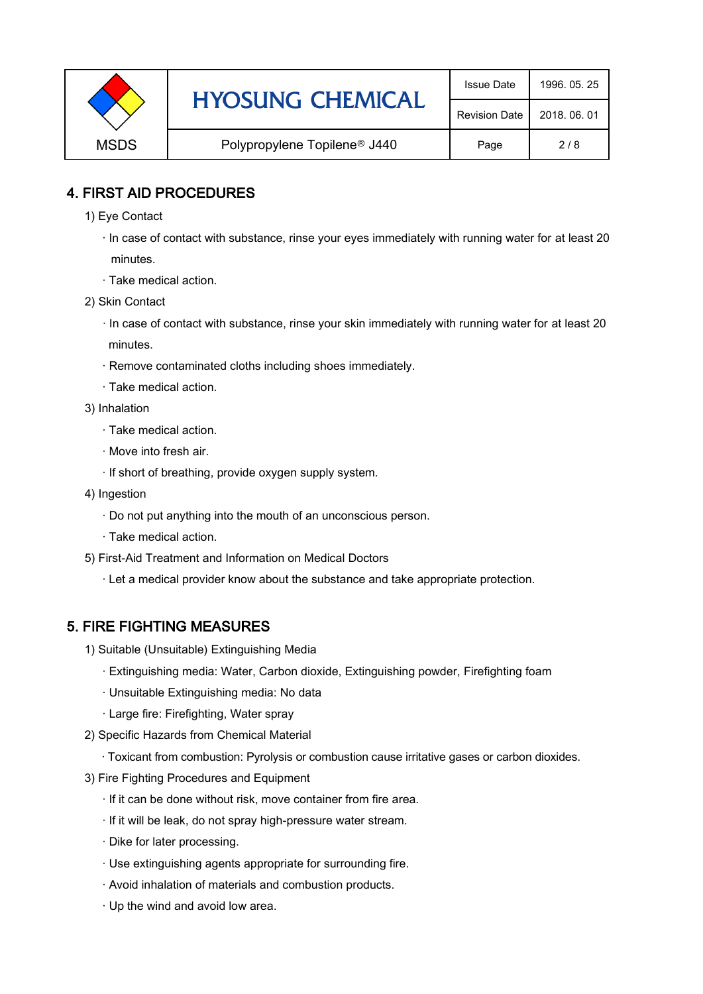|             | <b>HYOSUNG CHEMICAL</b>                  | <b>Issue Date</b> | 1996, 05, 25 |
|-------------|------------------------------------------|-------------------|--------------|
|             | <b>Revision Date</b>                     | 2018, 06, 01      |              |
| <b>MSDS</b> | Polypropylene Topilene <sup>®</sup> J440 | Page              | 2/8          |

# 4. FIRST AID PROCEDURES

- 1) Eye Contact
	- · In case of contact with substance, rinse your eyes immediately with running water for at least 20 minutes.
	- · Take medical action.
- 2) Skin Contact
	- · In case of contact with substance, rinse your skin immediately with running water for at least 20 minutes.
	- · Remove contaminated cloths including shoes immediately.
	- · Take medical action.
- 3) Inhalation
	- · Take medical action.
	- · Move into fresh air.
	- · If short of breathing, provide oxygen supply system.
- 4) Ingestion
	- · Do not put anything into the mouth of an unconscious person.
	- · Take medical action.
- 5) First-Aid Treatment and Information on Medical Doctors
	- · Let a medical provider know about the substance and take appropriate protection.

# 5. FIRE FIGHTING MEASURES

- 1) Suitable (Unsuitable) Extinguishing Media
	- · Extinguishing media: Water, Carbon dioxide, Extinguishing powder, Firefighting foam
	- · Unsuitable Extinguishing media: No data
	- · Large fire: Firefighting, Water spray
- 2) Specific Hazards from Chemical Material
	- · Toxicant from combustion: Pyrolysis or combustion cause irritative gases or carbon dioxides.
- 3) Fire Fighting Procedures and Equipment
	- · If it can be done without risk, move container from fire area.
	- · If it will be leak, do not spray high-pressure water stream.
	- · Dike for later processing.
	- · Use extinguishing agents appropriate for surrounding fire.
	- · Avoid inhalation of materials and combustion products.
	- · Up the wind and avoid low area.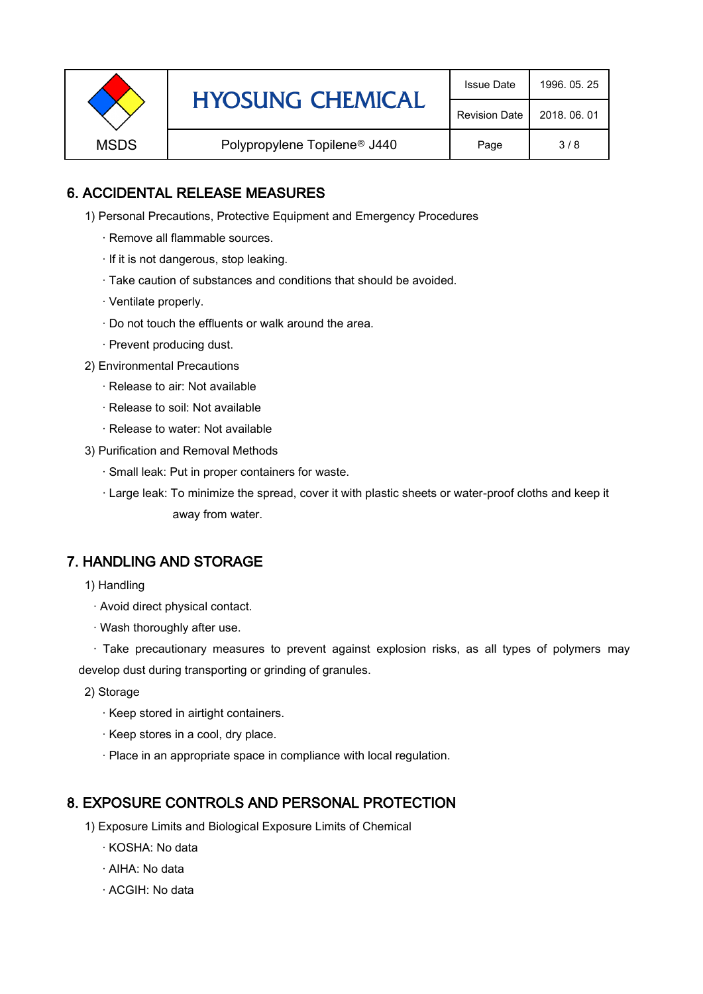|                                                         | <b>HYOSUNG CHEMICAL</b> | <b>Issue Date</b> | 1996, 05, 25 |
|---------------------------------------------------------|-------------------------|-------------------|--------------|
|                                                         | <b>Revision Date</b>    | 2018, 06, 01      |              |
| <b>MSDS</b><br>Polypropylene Topilene <sup>®</sup> J440 |                         | Page              | 3/8          |

# 6. ACCIDENTAL RELEASE MEASURES

- 1) Personal Precautions, Protective Equipment and Emergency Procedures
	- · Remove all flammable sources.
	- · If it is not dangerous, stop leaking.
	- · Take caution of substances and conditions that should be avoided.
	- · Ventilate properly.
	- · Do not touch the effluents or walk around the area.
	- · Prevent producing dust.
- 2) Environmental Precautions
	- · Release to air: Not available
	- · Release to soil: Not available
	- · Release to water: Not available
- 3) Purification and Removal Methods
	- · Small leak: Put in proper containers for waste.
	- ,· Large leak: To minimize the spread, cover it with plastic sheets or water-proof cloths and keep it away from water.

## 7. HANDLING AND STORAGE

- 1) Handling
	- · Avoid direct physical contact.
	- · Wash thoroughly after use.

· Take precautionary measures to prevent against explosion risks, as all types of polymers may develop dust during transporting or grinding of granules.

- 2) Storage
	- · Keep stored in airtight containers.
	- · Keep stores in a cool, dry place.
	- · Place in an appropriate space in compliance with local regulation.

## 8. EXPOSURE CONTROLS AND PERSONAL PROTECTION

- 1) Exposure Limits and Biological Exposure Limits of Chemical
	- · KOSHA: No data
	- · AIHA: No data
	- · ACGIH: No data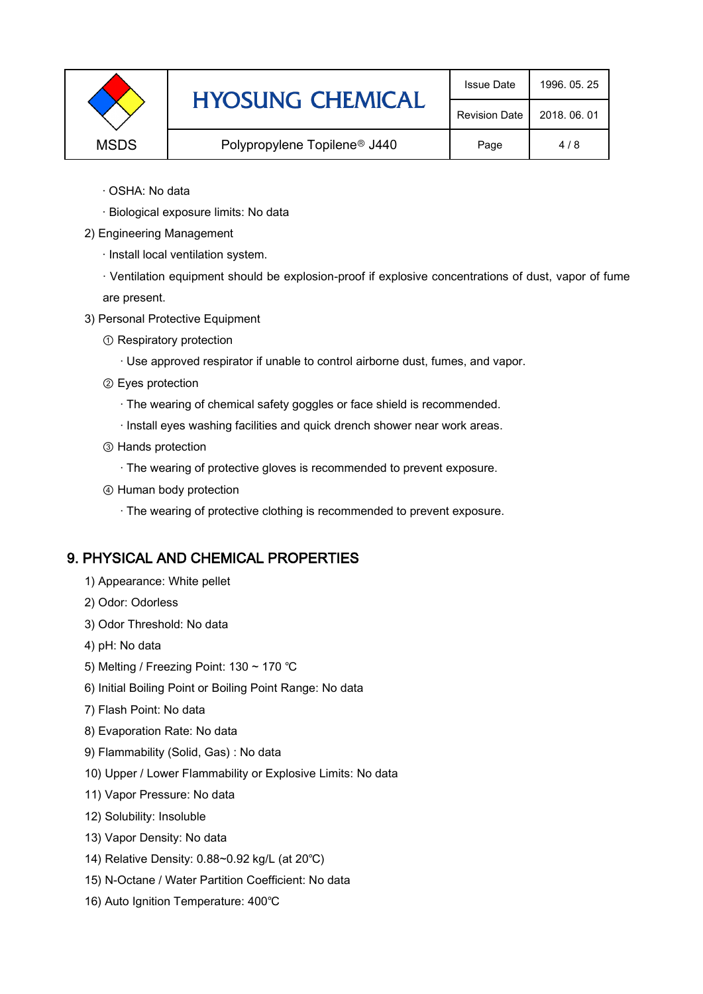|             | <b>HYOSUNG CHEMICAL</b>                  | <b>Issue Date</b>    | 1996, 05, 25 |
|-------------|------------------------------------------|----------------------|--------------|
|             |                                          | <b>Revision Date</b> | 2018, 06, 01 |
| <b>MSDS</b> | Polypropylene Topilene <sup>®</sup> J440 |                      | 4/8          |

- · OSHA: No data
- · Biological exposure limits: No data
- 2) Engineering Management
	- · Install local ventilation system.

· Ventilation equipment should be explosion-proof if explosive concentrations of dust, vapor of fume are present.

- 3) Personal Protective Equipment
	- ① Respiratory protection
		- · Use approved respirator if unable to control airborne dust, fumes, and vapor.
	- ② Eyes protection
		- · The wearing of chemical safety goggles or face shield is recommended.
		- · Install eyes washing facilities and quick drench shower near work areas.
	- ③ Hands protection
		- · The wearing of protective gloves is recommended to prevent exposure.
	- ④ Human body protection
		- · The wearing of protective clothing is recommended to prevent exposure.

#### 9. PHYSICAL AND CHEMICAL PROPERTIES

- 1) Appearance: White pellet
- 2) Odor: Odorless
- 3) Odor Threshold: No data
- 4) pH: No data
- 5) Melting / Freezing Point: 130 ~ 170 ℃
- 6) Initial Boiling Point or Boiling Point Range: No data
- 7) Flash Point: No data
- 8) Evaporation Rate: No data
- 9) Flammability (Solid, Gas) : No data
- 10) Upper / Lower Flammability or Explosive Limits: No data
- 11) Vapor Pressure: No data
- 12) Solubility: Insoluble
- 13) Vapor Density: No data
- 14) Relative Density: 0.88~0.92 kg/L (at 20℃)
- 15) N-Octane / Water Partition Coefficient: No data
- 16) Auto Ignition Temperature: 400℃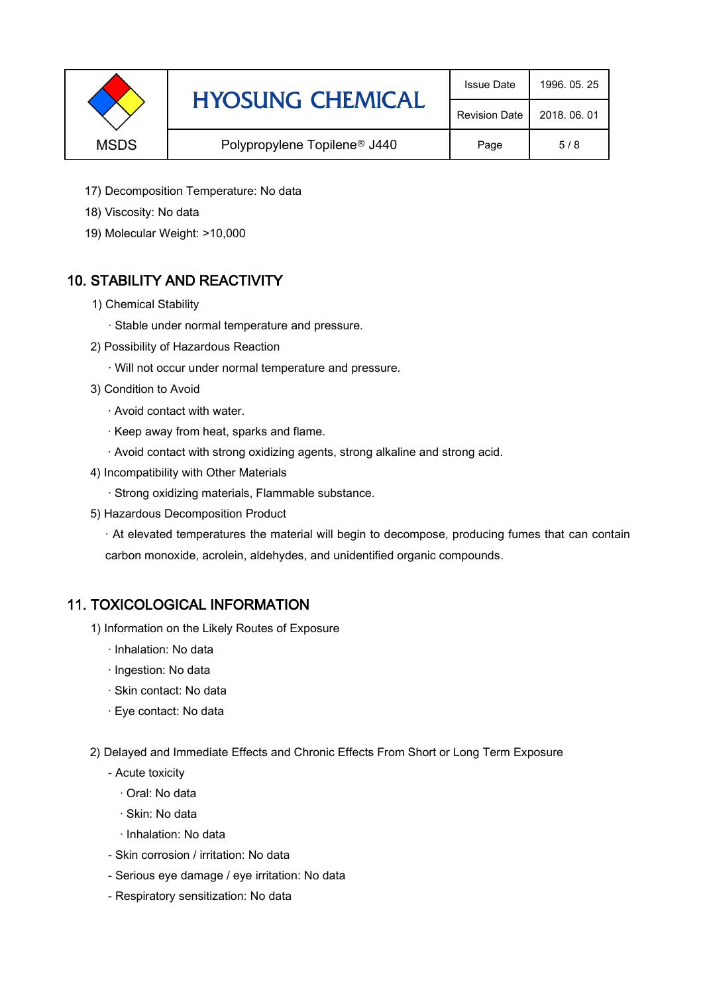|             | <b>HYOSUNG CHEMICAL</b>                  | <b>Issue Date</b>    | 1996, 05, 25 |
|-------------|------------------------------------------|----------------------|--------------|
|             |                                          | <b>Revision Date</b> | 2018, 06, 01 |
| <b>MSDS</b> | Polypropylene Topilene <sup>®</sup> J440 | Page                 | 5/8          |

- 17) Decomposition Temperature: No data
- 18) Viscosity: No data
- 19) Molecular Weight: >10,000

# 10. STABILITY AND REACTIVITY

- 1) Chemical Stability
	- · Stable under normal temperature and pressure.
- 2) Possibility of Hazardous Reaction
	- · Will not occur under normal temperature and pressure.
- 3) Condition to Avoid
	- · Avoid contact with water.
	- · Keep away from heat, sparks and flame.
	- · Avoid contact with strong oxidizing agents, strong alkaline and strong acid.
- 4) Incompatibility with Other Materials
	- · Strong oxidizing materials, Flammable substance.
- 5) Hazardous Decomposition Product

· At elevated temperatures the material will begin to decompose, producing fumes that can contain carbon monoxide, acrolein, aldehydes, and unidentified organic compounds.

## 11. TOXICOLOGICAL INFORMATION

- 1) Information on the Likely Routes of Exposure
	- · Inhalation: No data
	- · Ingestion: No data
	- · Skin contact: No data
	- · Eye contact: No data
- 2) Delayed and Immediate Effects and Chronic Effects From Short or Long Term Exposure
	- Acute toxicity
		- · Oral: No data
		- · Skin: No data
		- · Inhalation: No data
	- Skin corrosion / irritation: No data
	- Serious eye damage / eye irritation: No data
	- Respiratory sensitization: No data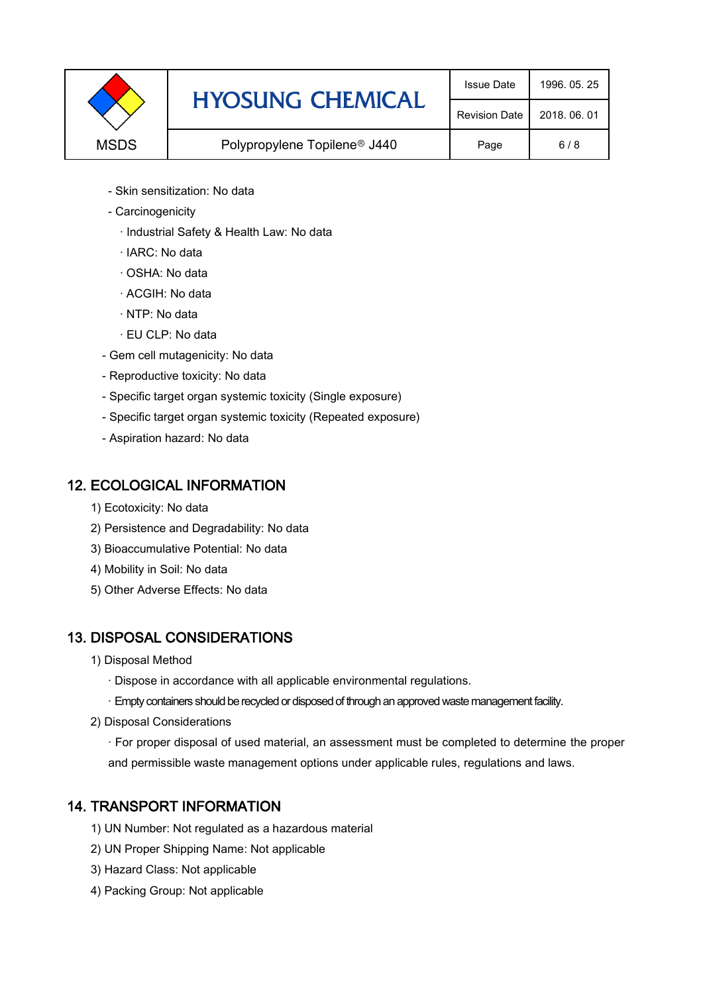|             | <b>HYOSUNG CHEMICAL</b>                  | <b>Issue Date</b>    | 1996, 05, 25 |
|-------------|------------------------------------------|----------------------|--------------|
|             |                                          | <b>Revision Date</b> | 2018, 06, 01 |
| <b>MSDS</b> | Polypropylene Topilene <sup>®</sup> J440 | Page                 | 6/8          |

- Skin sensitization: No data
- Carcinogenicity
	- · Industrial Safety & Health Law: No data
	- · IARC: No data
	- · OSHA: No data
	- · ACGIH: No data
	- · NTP: No data
	- · EU CLP: No data
- Gem cell mutagenicity: No data
- Reproductive toxicity: No data
- Specific target organ systemic toxicity (Single exposure)
- Specific target organ systemic toxicity (Repeated exposure)
- Aspiration hazard: No data

## 12. ECOLOGICAL INFORMATION

- 1) Ecotoxicity: No data
- 2) Persistence and Degradability: No data
- 3) Bioaccumulative Potential: No data
- 4) Mobility in Soil: No data
- 5) Other Adverse Effects: No data

# 13. DISPOSAL CONSIDERATIONS

- 1) Disposal Method
	- · Dispose in accordance with all applicable environmental regulations.
	- · Empty containers should be recycled or disposed of through an approved waste management facility.
- 2) Disposal Considerations
	- · For proper disposal of used material, an assessment must be completed to determine the proper and permissible waste management options under applicable rules, regulations and laws.

# 14. TRANSPORT INFORMATION

- 1) UN Number: Not regulated as a hazardous material
- 2) UN Proper Shipping Name: Not applicable
- 3) Hazard Class: Not applicable
- 4) Packing Group: Not applicable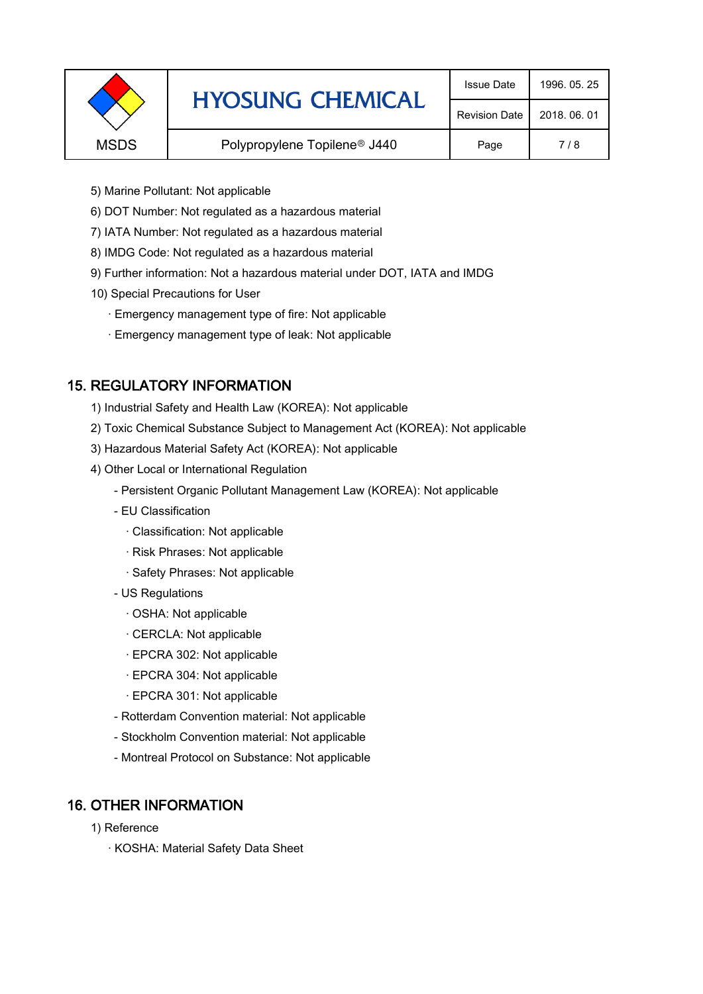|             | <b>HYOSUNG CHEMICAL</b>                  | <b>Issue Date</b>    | 1996, 05, 25 |
|-------------|------------------------------------------|----------------------|--------------|
|             |                                          | <b>Revision Date</b> | 2018, 06, 01 |
| <b>MSDS</b> | Polypropylene Topilene <sup>®</sup> J440 |                      | 7/8          |
|             |                                          |                      |              |

- 5) Marine Pollutant: Not applicable
- 6) DOT Number: Not regulated as a hazardous material
- 7) IATA Number: Not regulated as a hazardous material
- 8) IMDG Code: Not regulated as a hazardous material
- 9) Further information: Not a hazardous material under DOT, IATA and IMDG
- 10) Special Precautions for User
	- · Emergency management type of fire: Not applicable
	- · Emergency management type of leak: Not applicable

# 15. REGULATORY INFORMATION

- 1) Industrial Safety and Health Law (KOREA): Not applicable
- 2) Toxic Chemical Substance Subject to Management Act (KOREA): Not applicable
- 3) Hazardous Material Safety Act (KOREA): Not applicable
- 4) Other Local or International Regulation
	- Persistent Organic Pollutant Management Law (KOREA): Not applicable
	- EU Classification
		- · Classification: Not applicable
		- · Risk Phrases: Not applicable
		- · Safety Phrases: Not applicable
	- US Regulations
		- · OSHA: Not applicable
		- · CERCLA: Not applicable
		- · EPCRA 302: Not applicable
		- · EPCRA 304: Not applicable
		- · EPCRA 301: Not applicable
	- Rotterdam Convention material: Not applicable
	- Stockholm Convention material: Not applicable
	- Montreal Protocol on Substance: Not applicable

# 16. OTHER INFORMATION

- 1) Reference
	- · KOSHA: Material Safety Data Sheet